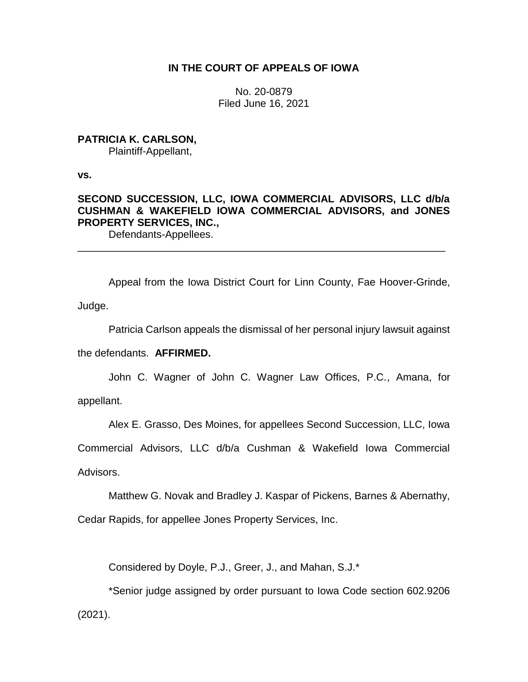## **IN THE COURT OF APPEALS OF IOWA**

No. 20-0879 Filed June 16, 2021

## **PATRICIA K. CARLSON,**

Plaintiff-Appellant,

**vs.**

# **SECOND SUCCESSION, LLC, IOWA COMMERCIAL ADVISORS, LLC d/b/a CUSHMAN & WAKEFIELD IOWA COMMERCIAL ADVISORS, and JONES PROPERTY SERVICES, INC.,**

\_\_\_\_\_\_\_\_\_\_\_\_\_\_\_\_\_\_\_\_\_\_\_\_\_\_\_\_\_\_\_\_\_\_\_\_\_\_\_\_\_\_\_\_\_\_\_\_\_\_\_\_\_\_\_\_\_\_\_\_\_\_\_\_

Defendants-Appellees.

Appeal from the Iowa District Court for Linn County, Fae Hoover-Grinde, Judge.

Patricia Carlson appeals the dismissal of her personal injury lawsuit against

the defendants. **AFFIRMED.**

John C. Wagner of John C. Wagner Law Offices, P.C., Amana, for appellant.

Alex E. Grasso, Des Moines, for appellees Second Succession, LLC, Iowa

Commercial Advisors, LLC d/b/a Cushman & Wakefield Iowa Commercial

Advisors.

Matthew G. Novak and Bradley J. Kaspar of Pickens, Barnes & Abernathy,

Cedar Rapids, for appellee Jones Property Services, Inc.

Considered by Doyle, P.J., Greer, J., and Mahan, S.J.\*

\*Senior judge assigned by order pursuant to Iowa Code section 602.9206 (2021).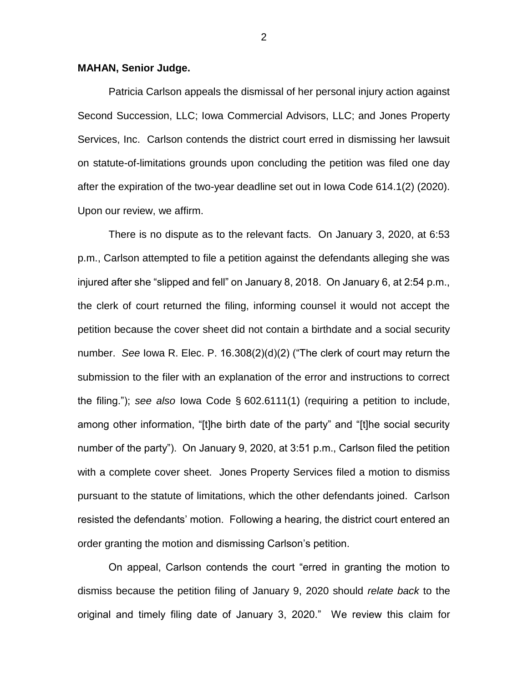#### **MAHAN, Senior Judge.**

Patricia Carlson appeals the dismissal of her personal injury action against Second Succession, LLC; Iowa Commercial Advisors, LLC; and Jones Property Services, Inc. Carlson contends the district court erred in dismissing her lawsuit on statute-of-limitations grounds upon concluding the petition was filed one day after the expiration of the two-year deadline set out in Iowa Code 614.1(2) (2020). Upon our review, we affirm.

There is no dispute as to the relevant facts. On January 3, 2020, at 6:53 p.m., Carlson attempted to file a petition against the defendants alleging she was injured after she "slipped and fell" on January 8, 2018. On January 6, at 2:54 p.m., the clerk of court returned the filing, informing counsel it would not accept the petition because the cover sheet did not contain a birthdate and a social security number. *See* Iowa R. Elec. P. 16.308(2)(d)(2) ("The clerk of court may return the submission to the filer with an explanation of the error and instructions to correct the filing."); *see also* Iowa Code § 602.6111(1) (requiring a petition to include, among other information, "[t]he birth date of the party" and "[t]he social security number of the party"). On January 9, 2020, at 3:51 p.m., Carlson filed the petition with a complete cover sheet. Jones Property Services filed a motion to dismiss pursuant to the statute of limitations, which the other defendants joined. Carlson resisted the defendants' motion. Following a hearing, the district court entered an order granting the motion and dismissing Carlson's petition.

On appeal, Carlson contends the court "erred in granting the motion to dismiss because the petition filing of January 9, 2020 should *relate back* to the original and timely filing date of January 3, 2020." We review this claim for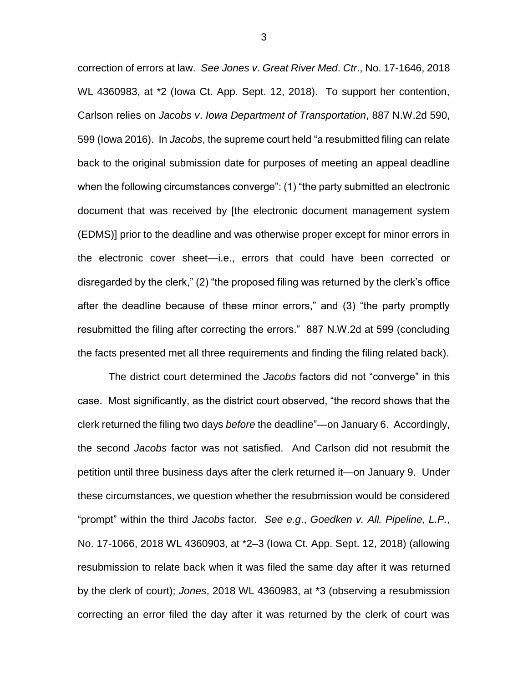correction of errors at law. *See Jones v*. *Great River Med*. *Ctr*., No. 17-1646, 2018 WL 4360983, at \*2 (Iowa Ct. App. Sept. 12, 2018). To support her contention, Carlson relies on *Jacobs v*. *Iowa Department of Transportation*, 887 N.W.2d 590, 599 (Iowa 2016). In *Jacobs*, the supreme court held "a resubmitted filing can relate back to the original submission date for purposes of meeting an appeal deadline when the following circumstances converge": (1) "the party submitted an electronic document that was received by [the electronic document management system (EDMS)] prior to the deadline and was otherwise proper except for minor errors in the electronic cover sheet—i.e., errors that could have been corrected or disregarded by the clerk," (2) "the proposed filing was returned by the clerk's office after the deadline because of these minor errors," and (3) "the party promptly resubmitted the filing after correcting the errors." 887 N.W.2d at 599 (concluding the facts presented met all three requirements and finding the filing related back).

The district court determined the *Jacobs* factors did not "converge" in this case. Most significantly, as the district court observed, "the record shows that the clerk returned the filing two days *before* the deadline"—on January 6. Accordingly, the second *Jacobs* factor was not satisfied. And Carlson did not resubmit the petition until three business days after the clerk returned it—on January 9. Under these circumstances, we question whether the resubmission would be considered "prompt" within the third *Jacobs* factor. *See e.g*., *Goedken v. All. Pipeline, L.P.*, No. 17-1066, 2018 WL 4360903, at \*2–3 (Iowa Ct. App. Sept. 12, 2018) (allowing resubmission to relate back when it was filed the same day after it was returned by the clerk of court); *Jones*, 2018 WL 4360983, at \*3 (observing a resubmission correcting an error filed the day after it was returned by the clerk of court was